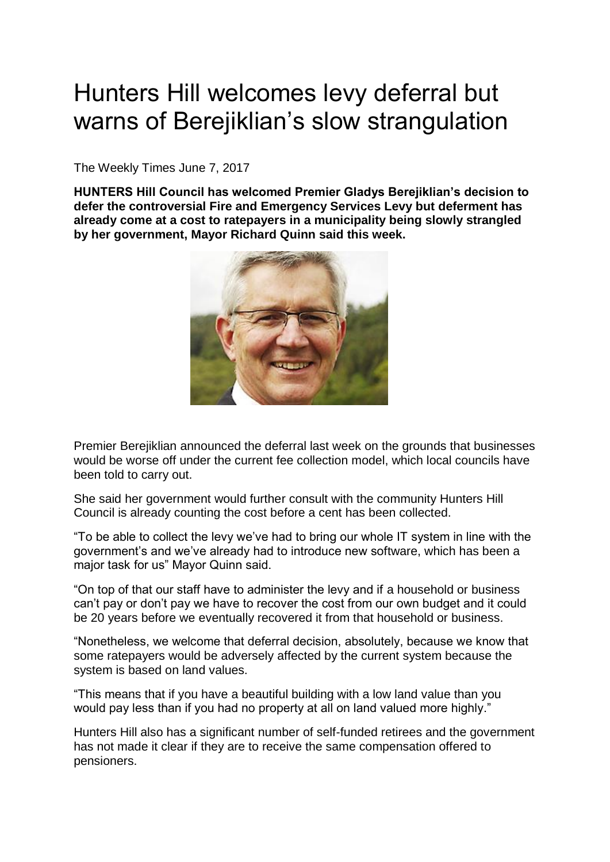## Hunters Hill welcomes levy deferral but warns of Berejiklian's slow strangulation

The Weekly Times June 7, 2017

**HUNTERS Hill Council has welcomed Premier Gladys Berejiklian's decision to defer the controversial Fire and Emergency Services Levy but deferment has already come at a cost to ratepayers in a municipality being slowly strangled by her government, Mayor Richard Quinn said this week.**



Premier Berejiklian announced the deferral last week on the grounds that businesses would be worse off under the current fee collection model, which local councils have been told to carry out.

She said her government would further consult with the community Hunters Hill Council is already counting the cost before a cent has been collected.

"To be able to collect the levy we've had to bring our whole IT system in line with the government's and we've already had to introduce new software, which has been a major task for us" Mayor Quinn said.

"On top of that our staff have to administer the levy and if a household or business can't pay or don't pay we have to recover the cost from our own budget and it could be 20 years before we eventually recovered it from that household or business.

"Nonetheless, we welcome that deferral decision, absolutely, because we know that some ratepayers would be adversely affected by the current system because the system is based on land values.

"This means that if you have a beautiful building with a low land value than you would pay less than if you had no property at all on land valued more highly."

Hunters Hill also has a significant number of self-funded retirees and the government has not made it clear if they are to receive the same compensation offered to pensioners.